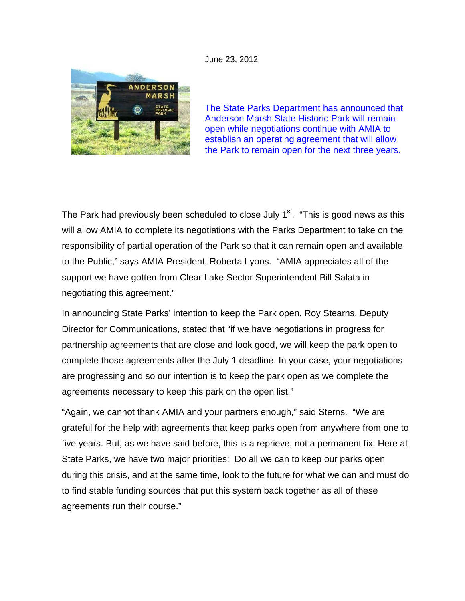June 23, 2012



The State Parks Department has announced that Anderson Marsh State Historic Park will remain open while negotiations continue with AMIA to establish an operating agreement that will allow the Park to remain open for the next three years.

The Park had previously been scheduled to close July 1<sup>st</sup>. "This is good news as this will allow AMIA to complete its negotiations with the Parks Department to take on the responsibility of partial operation of the Park so that it can remain open and available to the Public," says AMIA President, Roberta Lyons. "AMIA appreciates all of the support we have gotten from Clear Lake Sector Superintendent Bill Salata in negotiating this agreement."

In announcing State Parks' intention to keep the Park open, Roy Stearns, Deputy Director for Communications, stated that "if we have negotiations in progress for partnership agreements that are close and look good, we will keep the park open to complete those agreements after the July 1 deadline. In your case, your negotiations are progressing and so our intention is to keep the park open as we complete the agreements necessary to keep this park on the open list."

"Again, we cannot thank AMIA and your partners enough," said Sterns. "We are grateful for the help with agreements that keep parks open from anywhere from one to five years. But, as we have said before, this is a reprieve, not a permanent fix. Here at State Parks, we have two major priorities: Do all we can to keep our parks open during this crisis, and at the same time, look to the future for what we can and must do to find stable funding sources that put this system back together as all of these agreements run their course."